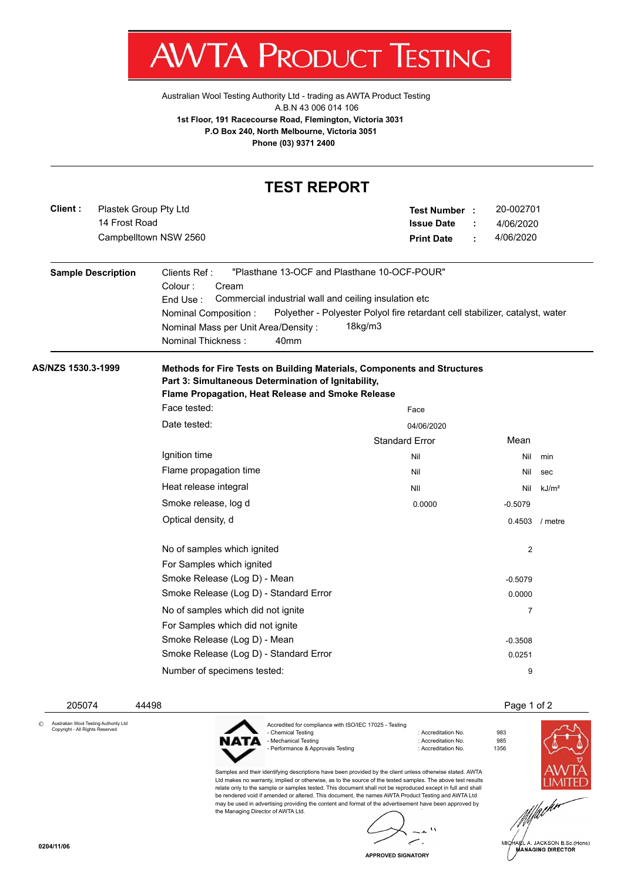

[Australian Wool Testing Authority Ltd - trading as AWTA Product Testing](http://www.awtaproducttesting.com.au/) A.B.N 43 006 014 106 **1st Floor, 191 Racecourse Road, Flemington, Victoria 3031 P.O Box 240, North Melbourne, Victoria 3051 Phone (03) 9371 2400**

|                                                   | <b>TEST REPORT</b>                                                                                                                                                                                                                                             |                                                                                         |                                          |                   |  |  |  |  |  |  |
|---------------------------------------------------|----------------------------------------------------------------------------------------------------------------------------------------------------------------------------------------------------------------------------------------------------------------|-----------------------------------------------------------------------------------------|------------------------------------------|-------------------|--|--|--|--|--|--|
| Client:<br>Plastek Group Pty Ltd<br>14 Frost Road | Campbelltown NSW 2560                                                                                                                                                                                                                                          | <b>Test Number :</b><br><b>Issue Date</b><br><b>Print Date</b>                          | 20-002701<br>4/06/2020<br>4/06/2020<br>÷ |                   |  |  |  |  |  |  |
| <b>Sample Description</b>                         | "Plasthane 13-OCF and Plasthane 10-OCF-POUR"<br>Clients Ref:<br>Colour:<br>Cream<br>Commercial industrial wall and ceiling insulation etc<br>End Use:<br>Nominal Composition:<br>Nominal Mass per Unit Area/Density:<br>Nominal Thickness:<br>40 <sub>mm</sub> | Polyether - Polyester Polyol fire retardant cell stabilizer, catalyst, water<br>18kg/m3 |                                          |                   |  |  |  |  |  |  |
| AS/NZS 1530.3-1999                                | Methods for Fire Tests on Building Materials, Components and Structures<br>Part 3: Simultaneous Determination of Ignitability,<br>Flame Propagation, Heat Release and Smoke Release                                                                            |                                                                                         |                                          |                   |  |  |  |  |  |  |
|                                                   | Face tested:                                                                                                                                                                                                                                                   | Face                                                                                    |                                          |                   |  |  |  |  |  |  |
|                                                   | Date tested:                                                                                                                                                                                                                                                   | 04/06/2020                                                                              |                                          |                   |  |  |  |  |  |  |
|                                                   |                                                                                                                                                                                                                                                                | <b>Standard Error</b>                                                                   | Mean                                     |                   |  |  |  |  |  |  |
|                                                   | Ignition time                                                                                                                                                                                                                                                  | Nil                                                                                     | Nil                                      | min               |  |  |  |  |  |  |
|                                                   | Flame propagation time                                                                                                                                                                                                                                         | Nil                                                                                     | Nil                                      | sec               |  |  |  |  |  |  |
|                                                   | Heat release integral                                                                                                                                                                                                                                          | NII                                                                                     | Nil                                      | kJ/m <sup>2</sup> |  |  |  |  |  |  |
|                                                   | Smoke release, log d                                                                                                                                                                                                                                           | 0.0000                                                                                  | $-0.5079$                                |                   |  |  |  |  |  |  |
|                                                   | Optical density, d                                                                                                                                                                                                                                             |                                                                                         |                                          | 0.4503 / metre    |  |  |  |  |  |  |
|                                                   | No of samples which ignited                                                                                                                                                                                                                                    |                                                                                         | 2                                        |                   |  |  |  |  |  |  |
|                                                   | For Samples which ignited                                                                                                                                                                                                                                      |                                                                                         |                                          |                   |  |  |  |  |  |  |
|                                                   | Smoke Release (Log D) - Mean                                                                                                                                                                                                                                   |                                                                                         | $-0.5079$                                |                   |  |  |  |  |  |  |
|                                                   | Smoke Release (Log D) - Standard Error                                                                                                                                                                                                                         |                                                                                         | 0.0000                                   |                   |  |  |  |  |  |  |
|                                                   | No of samples which did not ignite                                                                                                                                                                                                                             |                                                                                         | $\overline{7}$                           |                   |  |  |  |  |  |  |
|                                                   |                                                                                                                                                                                                                                                                |                                                                                         |                                          |                   |  |  |  |  |  |  |
|                                                   | For Samples which did not ignite                                                                                                                                                                                                                               |                                                                                         |                                          |                   |  |  |  |  |  |  |
|                                                   | Smoke Release (Log D) - Mean<br>Smoke Release (Log D) - Standard Error                                                                                                                                                                                         |                                                                                         | $-0.3508$<br>0.0251                      |                   |  |  |  |  |  |  |

205074 44498 Page 1 of 2

© Australian Wool Testing Authority Ltd Copyright - All Rights Reserved



the Managing Director of AWTA Ltd.

- Mechanical Testing in a state of the second technology of Accreditation No. 985<br>- Performance & Approvals Testing in the second technology of Accreditation No. 61356

 $\mathbf{r}_\lambda$ ż.  $\overline{\phantom{a}}$ 

: Accreditation No. 983<br>: Accreditation No. 985



.<br>IA∉L A. JACKSON B.Sc.(Hons)<br>MANAGING DIRECTOR

**APPROVED SIGNATORY**

سر

Samples and their identifying descriptions have been provided by the client unless otherwise stated. AWTA Ltd makes no warranty, implied or otherwise, as to the source of the tested samples. The above test results relate only to the sample or samples tested. This document shall not be reproduced except in full and shall be rendered void if amended or altered. This document, the names AWTA Product Testing and AWTA Ltd may be used in advertising providing the content and format of the advertisement have been approved by